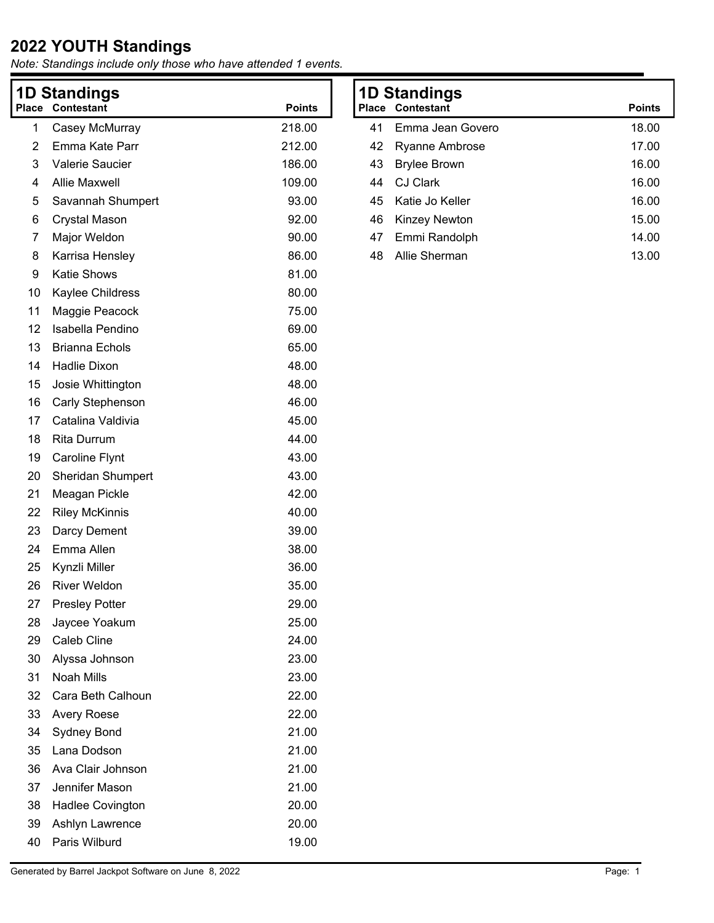| <b>1D Standings</b> |                          |               |  |  |
|---------------------|--------------------------|---------------|--|--|
| Place               | Contestant               | <b>Points</b> |  |  |
| 1                   | Casey McMurray           | 218.00        |  |  |
| 2                   | Emma Kate Parr           | 212.00        |  |  |
| 3                   | <b>Valerie Saucier</b>   | 186.00        |  |  |
| 4                   | <b>Allie Maxwell</b>     | 109.00        |  |  |
| 5                   | Savannah Shumpert        | 93.00         |  |  |
| 6                   | Crystal Mason            | 92.00         |  |  |
| 7                   | Major Weldon             | 90.00         |  |  |
| 8                   | Karrisa Hensley          | 86.00         |  |  |
| 9                   | <b>Katie Shows</b>       | 81.00         |  |  |
| 10                  | Kaylee Childress         | 80.00         |  |  |
| 11                  | Maggie Peacock           | 75.00         |  |  |
| 12                  | Isabella Pendino         | 69.00         |  |  |
| 13                  | <b>Brianna Echols</b>    | 65.00         |  |  |
| 14                  | <b>Hadlie Dixon</b>      | 48.00         |  |  |
| 15                  | Josie Whittington        | 48.00         |  |  |
| 16                  | Carly Stephenson         | 46.00         |  |  |
| 17                  | Catalina Valdivia        | 45.00         |  |  |
| 18                  | <b>Rita Durrum</b>       | 44.00         |  |  |
| 19                  | <b>Caroline Flynt</b>    | 43.00         |  |  |
| 20                  | <b>Sheridan Shumpert</b> | 43.00         |  |  |
| 21                  | Meagan Pickle            | 42.00         |  |  |
| 22                  | <b>Riley McKinnis</b>    | 40.00         |  |  |
| 23                  | Darcy Dement             | 39.00         |  |  |
| 24                  | Emma Allen               | 38.00         |  |  |
| 25                  | Kynzli Miller            | 36.00         |  |  |
| 26                  | <b>River Weldon</b>      | 35.00         |  |  |
| 27                  | <b>Presley Potter</b>    | 29.00         |  |  |
| 28                  | Jaycee Yoakum            | 25.00         |  |  |
| 29                  | Caleb Cline              | 24.00         |  |  |
| 30                  | Alyssa Johnson           | 23.00         |  |  |
| 31                  | <b>Noah Mills</b>        | 23.00         |  |  |
| 32                  | Cara Beth Calhoun        | 22.00         |  |  |
| 33                  | <b>Avery Roese</b>       | 22.00         |  |  |
| 34                  | <b>Sydney Bond</b>       | 21.00         |  |  |
| 35                  | Lana Dodson              | 21.00         |  |  |
| 36                  | Ava Clair Johnson        | 21.00         |  |  |
| 37                  | Jennifer Mason           | 21.00         |  |  |
| 38                  | <b>Hadlee Covington</b>  | 20.00         |  |  |
| 39                  | Ashlyn Lawrence          | 20.00         |  |  |
| 40                  | Paris Wilburd            | 19.00         |  |  |

| 23.00         |  |
|---------------|--|
| 23.00         |  |
| 22.00         |  |
| $\sim$ $\sim$ |  |

| 1D Standings |                         |               |  |
|--------------|-------------------------|---------------|--|
|              | <b>Place Contestant</b> | <b>Points</b> |  |
| 41           | Emma Jean Govero        | 18.00         |  |
| 42           | Ryanne Ambrose          | 17.00         |  |
| 43           | <b>Brylee Brown</b>     | 16.00         |  |
| 44           | CJ Clark                | 16.00         |  |
| 45.          | Katie Jo Keller         | 16.00         |  |
| 46           | <b>Kinzey Newton</b>    | 15.00         |  |
|              | 47 Emmi Randolph        | 14.00         |  |
| 48           | Allie Sherman           | 13.00         |  |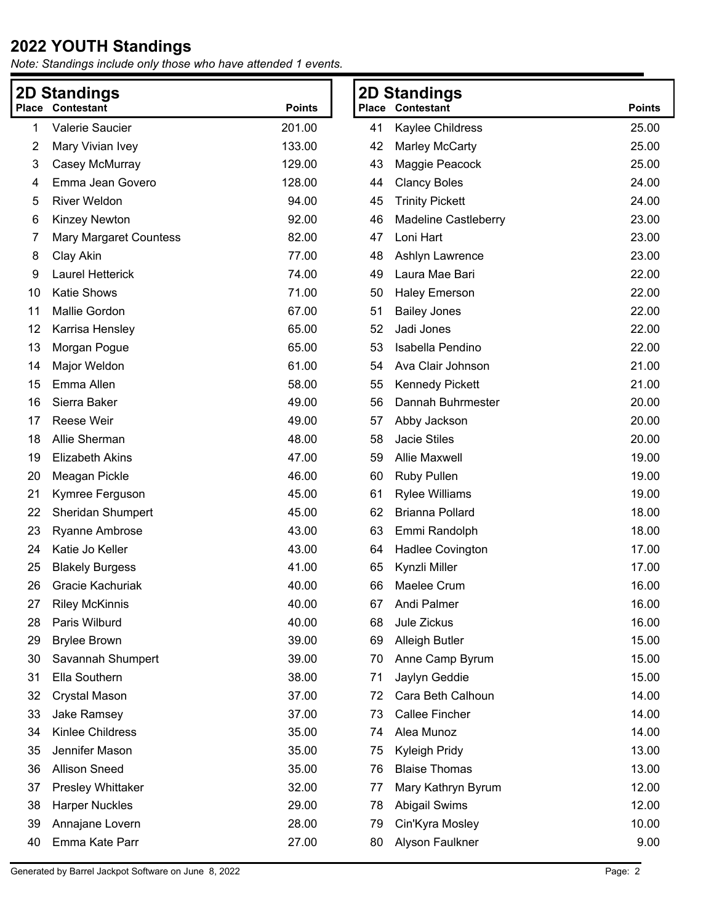| 2D Standings                                |                          |        | <b>2D Standings</b>     |                             |       |
|---------------------------------------------|--------------------------|--------|-------------------------|-----------------------------|-------|
| <b>Contestant</b><br><b>Points</b><br>Place |                          |        | <b>Place Contestant</b> | <b>Points</b>               |       |
| 1                                           | Valerie Saucier          | 201.00 | 41                      | Kaylee Childress            | 25.00 |
| 2                                           | Mary Vivian Ivey         | 133.00 | 42                      | Marley McCarty              | 25.00 |
| 3                                           | Casey McMurray           | 129.00 | 43                      | Maggie Peacock              | 25.00 |
| 4                                           | Emma Jean Govero         | 128.00 | 44                      | <b>Clancy Boles</b>         | 24.00 |
| 5                                           | <b>River Weldon</b>      | 94.00  | 45                      | <b>Trinity Pickett</b>      | 24.00 |
| 6                                           | Kinzey Newton            | 92.00  | 46                      | <b>Madeline Castleberry</b> | 23.00 |
| 7                                           | Mary Margaret Countess   | 82.00  | 47                      | Loni Hart                   | 23.00 |
| 8                                           | Clay Akin                | 77.00  | 48                      | Ashlyn Lawrence             | 23.00 |
| 9                                           | Laurel Hetterick         | 74.00  | 49                      | Laura Mae Bari              | 22.00 |
| 10                                          | <b>Katie Shows</b>       | 71.00  | 50                      | <b>Haley Emerson</b>        | 22.00 |
| 11                                          | Mallie Gordon            | 67.00  | 51                      | <b>Bailey Jones</b>         | 22.00 |
| 12                                          | Karrisa Hensley          | 65.00  | 52                      | Jadi Jones                  | 22.00 |
| 13                                          | Morgan Pogue             | 65.00  | 53                      | Isabella Pendino            | 22.00 |
| 14                                          | Major Weldon             | 61.00  | 54                      | Ava Clair Johnson           | 21.00 |
| 15                                          | Emma Allen               | 58.00  | 55                      | <b>Kennedy Pickett</b>      | 21.00 |
| 16                                          | Sierra Baker             | 49.00  | 56                      | Dannah Buhrmester           | 20.00 |
| 17                                          | Reese Weir               | 49.00  | 57                      | Abby Jackson                | 20.00 |
| 18                                          | Allie Sherman            | 48.00  | 58                      | <b>Jacie Stiles</b>         | 20.00 |
| 19                                          | <b>Elizabeth Akins</b>   | 47.00  | 59                      | <b>Allie Maxwell</b>        | 19.00 |
| 20                                          | Meagan Pickle            | 46.00  | 60                      | <b>Ruby Pullen</b>          | 19.00 |
| 21                                          | Kymree Ferguson          | 45.00  | 61                      | <b>Rylee Williams</b>       | 19.00 |
| 22                                          | <b>Sheridan Shumpert</b> | 45.00  | 62                      | <b>Brianna Pollard</b>      | 18.00 |
| 23                                          | <b>Ryanne Ambrose</b>    | 43.00  | 63                      | Emmi Randolph               | 18.00 |
| 24                                          | Katie Jo Keller          | 43.00  | 64                      | Hadlee Covington            | 17.00 |
| 25                                          | <b>Blakely Burgess</b>   | 41.00  | 65                      | Kynzli Miller               | 17.00 |
| 26                                          | Gracie Kachuriak         | 40.00  | 66                      | Maelee Crum                 | 16.00 |
| 27                                          | <b>Riley McKinnis</b>    | 40.00  | 67                      | Andi Palmer                 | 16.00 |
| 28                                          | Paris Wilburd            | 40.00  | 68                      | Jule Zickus                 | 16.00 |
| 29                                          | <b>Brylee Brown</b>      | 39.00  | 69                      | <b>Alleigh Butler</b>       | 15.00 |
| 30                                          | Savannah Shumpert        | 39.00  | 70                      | Anne Camp Byrum             | 15.00 |
| 31                                          | Ella Southern            | 38.00  | 71                      | Jaylyn Geddie               | 15.00 |
| 32                                          | <b>Crystal Mason</b>     | 37.00  | 72                      | Cara Beth Calhoun           | 14.00 |
| 33                                          | Jake Ramsey              | 37.00  | 73                      | <b>Callee Fincher</b>       | 14.00 |
| 34                                          | Kinlee Childress         | 35.00  | 74                      | Alea Munoz                  | 14.00 |
| 35                                          | Jennifer Mason           | 35.00  | 75                      | Kyleigh Pridy               | 13.00 |
| 36                                          | <b>Allison Sneed</b>     | 35.00  | 76                      | <b>Blaise Thomas</b>        | 13.00 |
| 37                                          | Presley Whittaker        | 32.00  | 77                      | Mary Kathryn Byrum          | 12.00 |
| 38                                          | <b>Harper Nuckles</b>    | 29.00  | 78                      | <b>Abigail Swims</b>        | 12.00 |
| 39                                          | Annajane Lovern          | 28.00  | 79                      | Cin'Kyra Mosley             | 10.00 |
| 40                                          | Emma Kate Parr           | 27.00  | 80                      | Alyson Faulkner             | 9.00  |
|                                             |                          |        |                         |                             |       |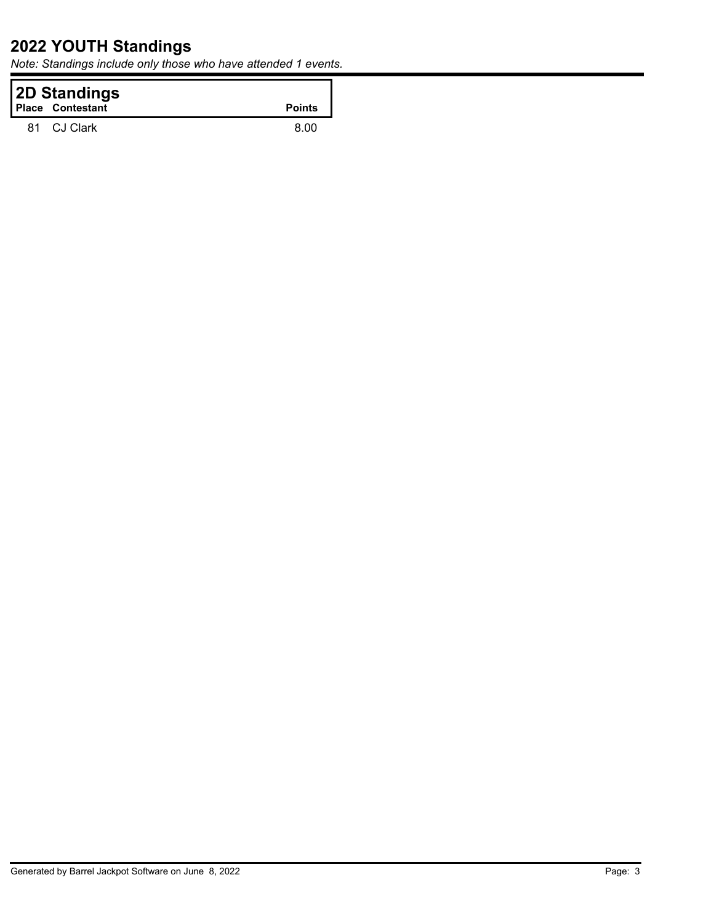| <b>2D Standings</b><br><b>Place Contestant</b> | <b>Points</b> |
|------------------------------------------------|---------------|
| 81 CJ Clark                                    | 8 OO          |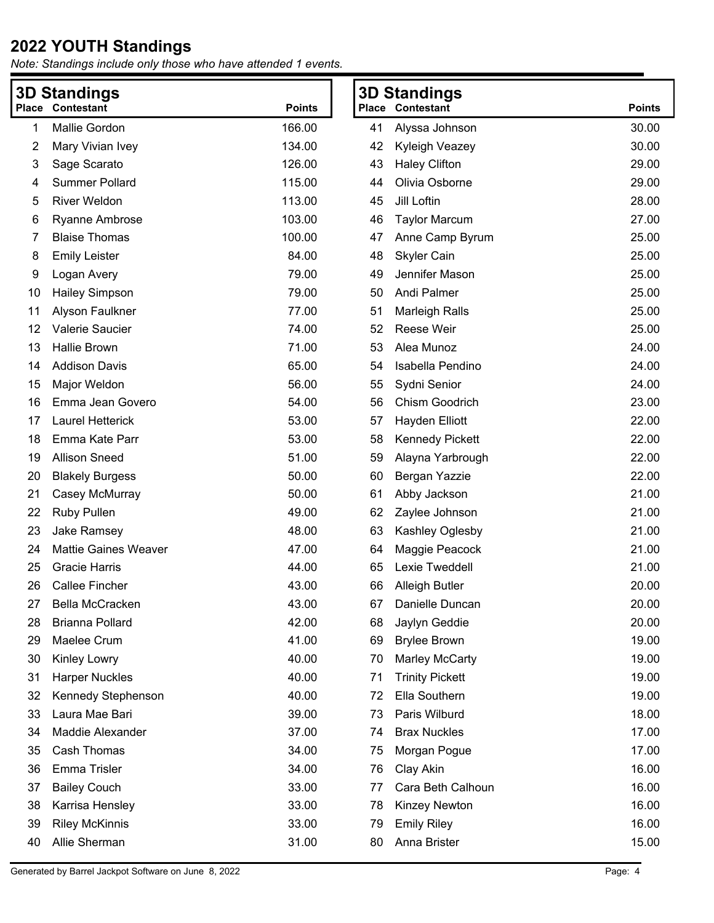| <b>3D Standings</b> |                             |               | <b>3D Standings</b> |                         |               |
|---------------------|-----------------------------|---------------|---------------------|-------------------------|---------------|
|                     | <b>Place Contestant</b>     | <b>Points</b> |                     | <b>Place Contestant</b> | <b>Points</b> |
| 1                   | Mallie Gordon               | 166.00        | 41                  | Alyssa Johnson          | 30.00         |
| 2                   | Mary Vivian Ivey            | 134.00        | 42                  | Kyleigh Veazey          | 30.00         |
| 3                   | Sage Scarato                | 126.00        | 43                  | <b>Haley Clifton</b>    | 29.00         |
| 4                   | <b>Summer Pollard</b>       | 115.00        | 44                  | Olivia Osborne          | 29.00         |
| 5                   | <b>River Weldon</b>         | 113.00        | 45                  | Jill Loftin             | 28.00         |
| 6                   | <b>Ryanne Ambrose</b>       | 103.00        | 46                  | <b>Taylor Marcum</b>    | 27.00         |
| 7                   | <b>Blaise Thomas</b>        | 100.00        | 47                  | Anne Camp Byrum         | 25.00         |
| 8                   | <b>Emily Leister</b>        | 84.00         | 48                  | <b>Skyler Cain</b>      | 25.00         |
| 9                   | Logan Avery                 | 79.00         | 49                  | Jennifer Mason          | 25.00         |
| 10                  | <b>Hailey Simpson</b>       | 79.00         | 50                  | Andi Palmer             | 25.00         |
| 11                  | Alyson Faulkner             | 77.00         | 51                  | <b>Marleigh Ralls</b>   | 25.00         |
| 12                  | Valerie Saucier             | 74.00         | 52                  | <b>Reese Weir</b>       | 25.00         |
| 13                  | Hallie Brown                | 71.00         | 53                  | Alea Munoz              | 24.00         |
| 14                  | <b>Addison Davis</b>        | 65.00         | 54                  | Isabella Pendino        | 24.00         |
| 15                  | Major Weldon                | 56.00         | 55                  | Sydni Senior            | 24.00         |
| 16                  | Emma Jean Govero            | 54.00         | 56                  | Chism Goodrich          | 23.00         |
| 17                  | Laurel Hetterick            | 53.00         | 57                  | Hayden Elliott          | 22.00         |
| 18                  | Emma Kate Parr              | 53.00         | 58                  | <b>Kennedy Pickett</b>  | 22.00         |
| 19                  | <b>Allison Sneed</b>        | 51.00         | 59                  | Alayna Yarbrough        | 22.00         |
| 20                  | <b>Blakely Burgess</b>      | 50.00         | 60                  | Bergan Yazzie           | 22.00         |
| 21                  | Casey McMurray              | 50.00         | 61                  | Abby Jackson            | 21.00         |
| 22                  | <b>Ruby Pullen</b>          | 49.00         | 62                  | Zaylee Johnson          | 21.00         |
| 23                  | Jake Ramsey                 | 48.00         | 63                  | Kashley Oglesby         | 21.00         |
| 24                  | <b>Mattie Gaines Weaver</b> | 47.00         | 64                  | Maggie Peacock          | 21.00         |
| 25                  | <b>Gracie Harris</b>        | 44.00         | 65                  | Lexie Tweddell          | 21.00         |
| 26                  | <b>Callee Fincher</b>       | 43.00         | 66                  | <b>Alleigh Butler</b>   | 20.00         |
| 27                  | Bella McCracken             | 43.00         | 67                  | Danielle Duncan         | 20.00         |
| 28                  | <b>Brianna Pollard</b>      | 42.00         | 68                  | Jaylyn Geddie           | 20.00         |
| 29                  | Maelee Crum                 | 41.00         | 69                  | <b>Brylee Brown</b>     | 19.00         |
| 30                  | <b>Kinley Lowry</b>         | 40.00         | 70                  | <b>Marley McCarty</b>   | 19.00         |
| 31                  | <b>Harper Nuckles</b>       | 40.00         | 71                  | <b>Trinity Pickett</b>  | 19.00         |
| 32                  | Kennedy Stephenson          | 40.00         | 72                  | Ella Southern           | 19.00         |
| 33                  | Laura Mae Bari              | 39.00         | 73                  | Paris Wilburd           | 18.00         |
| 34                  | Maddie Alexander            | 37.00         | 74                  | <b>Brax Nuckles</b>     | 17.00         |
| 35                  | Cash Thomas                 | 34.00         | 75                  | Morgan Pogue            | 17.00         |
| 36                  | Emma Trisler                | 34.00         | 76                  | Clay Akin               | 16.00         |
| 37                  | <b>Bailey Couch</b>         | 33.00         | 77                  | Cara Beth Calhoun       | 16.00         |
| 38                  | Karrisa Hensley             | 33.00         | 78                  | Kinzey Newton           | 16.00         |
| 39                  | <b>Riley McKinnis</b>       | 33.00         | 79                  | <b>Emily Riley</b>      | 16.00         |
| 40                  | Allie Sherman               | 31.00         | 80                  | Anna Brister            | 15.00         |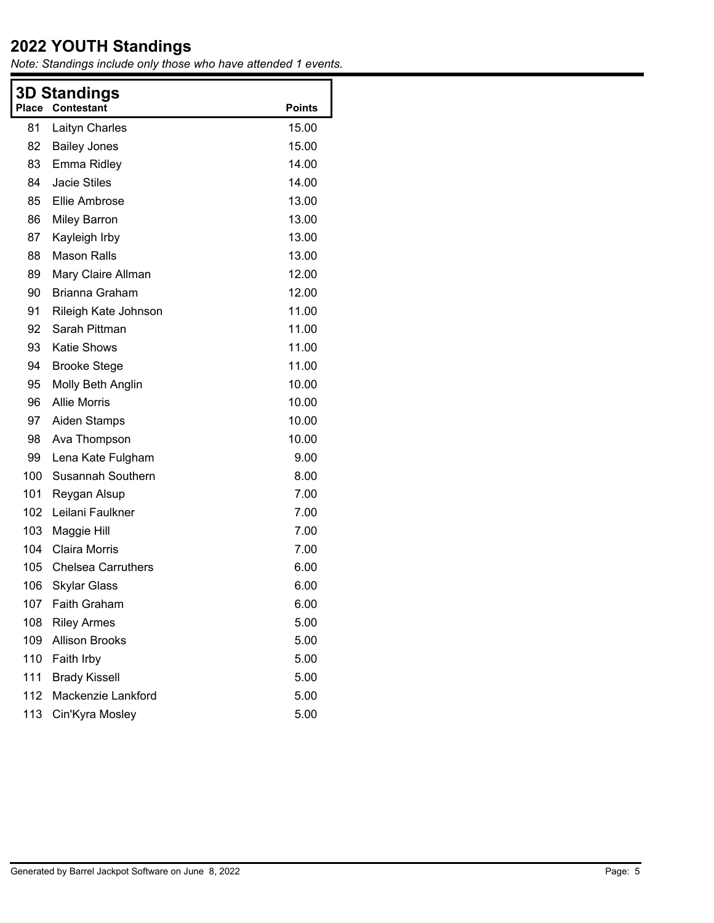| Place | <b>3D Standings</b><br><b>Contestant</b> | <b>Points</b> |
|-------|------------------------------------------|---------------|
| 81    | <b>Laityn Charles</b>                    | 15.00         |
| 82    | <b>Bailey Jones</b>                      | 15.00         |
| 83    | Emma Ridley                              | 14.00         |
| 84    | <b>Jacie Stiles</b>                      | 14.00         |
| 85    | Ellie Ambrose                            | 13.00         |
| 86    | <b>Miley Barron</b>                      | 13.00         |
| 87    | Kayleigh Irby                            | 13.00         |
| 88    | <b>Mason Ralls</b>                       | 13.00         |
| 89    | Mary Claire Allman                       | 12.00         |
| 90    | Brianna Graham                           | 12.00         |
| 91    | Rileigh Kate Johnson                     | 11.00         |
| 92    | Sarah Pittman                            | 11.00         |
| 93    | <b>Katie Shows</b>                       | 11.00         |
| 94    | <b>Brooke Stege</b>                      | 11.00         |
| 95    | Molly Beth Anglin                        | 10.00         |
| 96    | <b>Allie Morris</b>                      | 10.00         |
| 97    | <b>Aiden Stamps</b>                      | 10.00         |
| 98    | Ava Thompson                             | 10.00         |
| 99    | Lena Kate Fulgham                        | 9.00          |
| 100   | Susannah Southern                        | 8.00          |
| 101   | Reygan Alsup                             | 7.00          |
| 102   | Leilani Faulkner                         | 7.00          |
| 103   | Maggie Hill                              | 7.00          |
| 104   | <b>Claira Morris</b>                     | 7.00          |
| 105   | <b>Chelsea Carruthers</b>                | 6.00          |
| 106   | <b>Skylar Glass</b>                      | 6.00          |
| 107.  | Faith Graham                             | 6.00          |
| 108   | <b>Riley Armes</b>                       | 5.00          |
| 109   | <b>Allison Brooks</b>                    | 5.00          |
| 110   | Faith Irby                               | 5.00          |
| 111   | <b>Brady Kissell</b>                     | 5.00          |
| 112   | Mackenzie Lankford                       | 5.00          |
| 113   | Cin'Kyra Mosley                          | 5.00          |